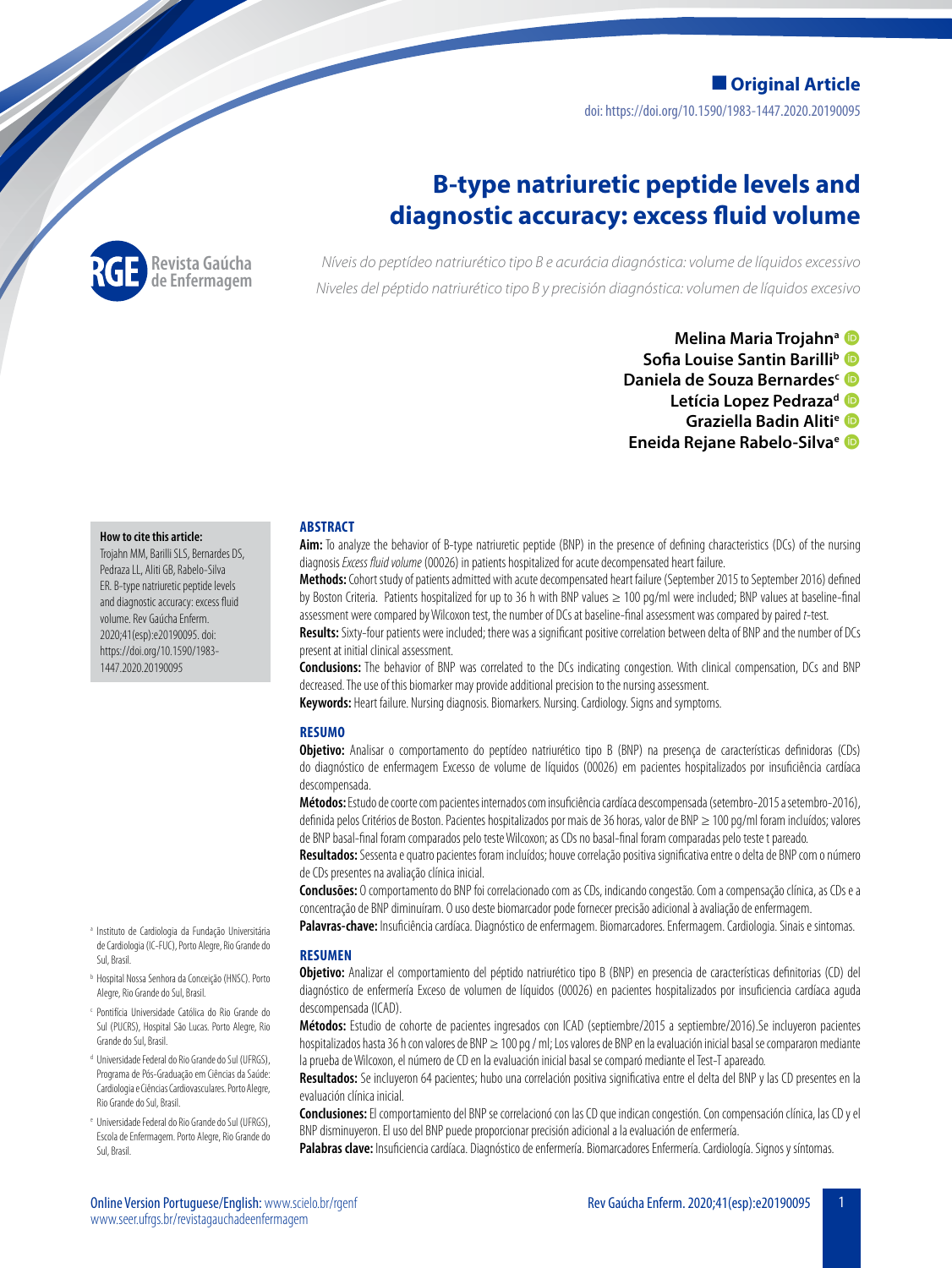doi: https://doi.org/10.1590/1983-1447.2020.20190095 **Original Article**

# **B-type natriuretic peptide levels and diagnostic accuracy: excess fluid volume**



*Níveis do peptídeo natriurético tipo B e acurácia diagnóstica: volume de líquidos excessivo Niveles del péptido natriurético tipo B y precisión diagnóstica: volumen de líquidos excesivo*

> **Melina Maria Trojahna Sofia Louise Santin Barilli<sup>b</sup> Daniela de Souza Bernardes**<sup>c</sup> Letícia Lopez Pedraza<sup>d</sup> D **Graziella Badin Alitie Eneida Rejane Rabelo-Silvae**

#### **How to cite this article:**

Trojahn MM, Barilli SLS, Bernardes DS, Pedraza LL, Aliti GB, Rabelo-Silva ER. B-type natriuretic peptide levels and diagnostic accuracy: excess fluid volume. Rev Gaúcha Enferm. 2020;41(esp):e20190095. doi: https://doi.org/10.1590/1983- 1447.2020.20190095

- <sup>a</sup> Instituto de Cardiologia da Fundação Universitária de Cardiologia (IC-FUC), Porto Alegre, Rio Grande do Sul, Brasil.
- <sup>b</sup> Hospital Nossa Senhora da Conceição (HNSC). Porto Alegre, Rio Grande do Sul, Brasil.
- <sup>c</sup> Pontifícia Universidade Católica do Rio Grande do Sul (PUCRS), Hospital São Lucas. Porto Alegre, Rio Grande do Sul, Brasil.
- <sup>d</sup> Universidade Federal do Rio Grande do Sul (UFRGS), Programa de Pós-Graduação em Ciências da Saúde: Cardiologia e Ciências Cardiovasculares. Porto Alegre, Rio Grande do Sul, Brasil.
- <sup>e</sup> Universidade Federal do Rio Grande do Sul (UFRGS), Escola de Enfermagem. Porto Alegre, Rio Grande do Sul, Brasil.

### **ABSTRACT**

**Aim:** To analyze the behavior of B-type natriuretic peptide (BNP) in the presence of defining characteristics (DCs) of the nursing diagnosis *Excess fluid volume* (00026) in patients hospitalized for acute decompensated heart failure.

**Methods:** Cohort study of patients admitted with acute decompensated heart failure (September 2015 to September 2016) defined by Boston Criteria. Patients hospitalized for up to 36 h with BNP values ≥ 100 pg/ml were included; BNP values at baseline-final assessment were compared by Wilcoxon test, the number of DCs at baseline-final assessment was compared by paired *t*-test.

**Results:** Sixty-four patients were included; there was a significant positive correlation between delta of BNP and the number of DCs present at initial clinical assessment.

**Conclusions:** The behavior of BNP was correlated to the DCs indicating congestion. With clinical compensation, DCs and BNP decreased. The use of this biomarker may provide additional precision to the nursing assessment.

**Keywords:** Heart failure. Nursing diagnosis. Biomarkers. Nursing. Cardiology. Signs and symptoms.

### **RESUMO**

**Objetivo:** Analisar o comportamento do peptídeo natriurético tipo B (BNP) na presença de características definidoras (CDs) do diagnóstico de enfermagem Excesso de volume de líquidos (00026) em pacientes hospitalizados por insuficiência cardíaca descompensada.

**Métodos:** Estudo de coorte com pacientes internados com insuficiência cardíaca descompensada (setembro-2015 a setembro-2016), definida pelos Critérios de Boston. Pacientes hospitalizados por mais de 36 horas, valor de BNP ≥ 100 pg/ml foram incluídos; valores de BNP basal-final foram comparados pelo teste Wilcoxon; as CDs no basal-final foram comparadas pelo teste t pareado.

Resultados: Sessenta e quatro pacientes foram incluídos; houve correlação positiva significativa entre o delta de BNP com o número de CDs presentes na avaliação clínica inicial.

**Conclusões:** O comportamento do BNP foi correlacionado com as CDs, indicando congestão. Com a compensação clínica, as CDs e a concentração de BNP diminuíram. O uso deste biomarcador pode fornecer precisão adicional à avaliação de enfermagem.

**Palavras-chave:** Insuficiência cardíaca. Diagnóstico de enfermagem. Biomarcadores. Enfermagem. Cardiologia. Sinais e sintomas.

#### **RESUMEN**

**Objetivo:** Analizar el comportamiento del péptido natriurético tipo B (BNP) en presencia de características definitorias (CD) del diagnóstico de enfermería Exceso de volumen de líquidos (00026) en pacientes hospitalizados por insuficiencia cardíaca aguda descompensada (ICAD).

**Métodos:** Estudio de cohorte de pacientes ingresados con ICAD (septiembre/2015 a septiembre/2016).Se incluyeron pacientes hospitalizados hasta 36 h con valores de BNP ≥ 100 pg / ml; Los valores de BNP en la evaluación inicial basal se compararon mediante la prueba de Wilcoxon, el número de CD en la evaluación inicial basal se comparó mediante el Test-T apareado.

**Resultados:** Se incluyeron 64 pacientes; hubo una correlación positiva significativa entre el delta del BNP y las CD presentes en la evaluación clínica inicial.

**Conclusiones:** El comportamiento del BNP se correlacionó con las CD que indican congestión. Con compensación clínica, las CD y el BNP disminuyeron. El uso del BNP puede proporcionar precisión adicional a la evaluación de enfermería.

**Palabras clave:** Insuficiencia cardíaca. Diagnóstico de enfermería. Biomarcadores Enfermería. Cardiología. Signos y síntomas.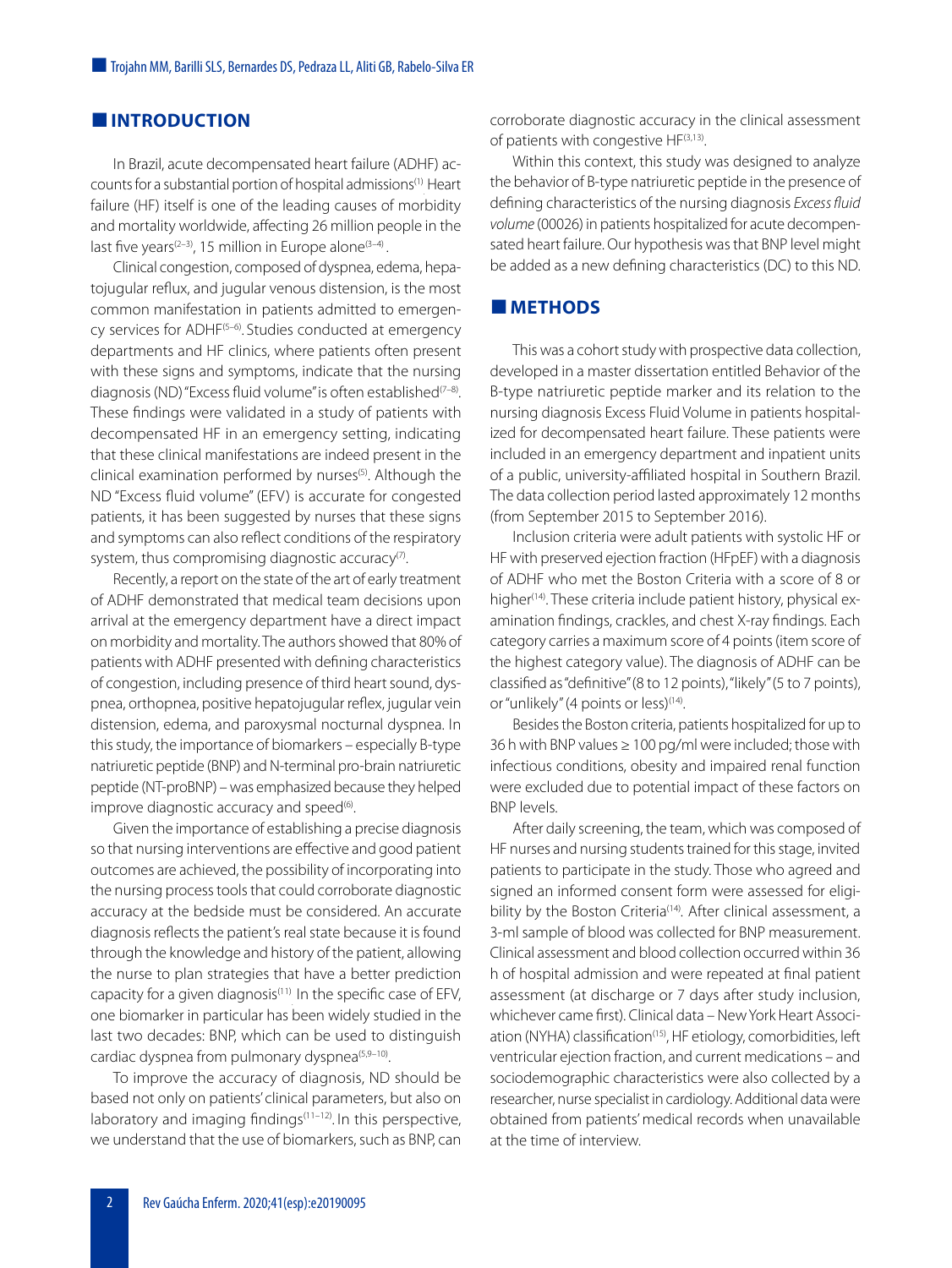# **INTRODUCTION**

In Brazil, acute decompensated heart failure (ADHF) ac-counts for a substantial portion of hospital admissions<sup>([1](#page-5-0))</sup> Heart . failure (HF) itself is one of the leading causes of morbidity and mortality worldwide, affecting 26 million people in the last five years<sup>([2](#page-5-1)[–3](#page-5-2))</sup>, 15 million in Europe alone<sup>[\(3](#page-5-2)–[4\)](#page-5-3)</sup> .

Clinical congestion, composed of dyspnea, edema, hepatojugular reflux, and jugular venous distension, is the most common manifestation in patients admitted to emergen-cy services for ADHF<sup>(5-[6\)](#page-5-5)</sup>. Studies conducted at emergency departments and HF clinics, where patients often present with these signs and symptoms, indicate that the nursing diagnosis (ND) "Excess fluid volume" is often established<sup>(7-[8](#page-5-7))</sup>. These findings were validated in a study of patients with decompensated HF in an emergency setting, indicating that these clinical manifestations are indeed present in the clinical examination performed by nurses<sup>([5\)](#page-5-4)</sup>. Although the ND "Excess fluid volume" (EFV) is accurate for congested patients, it has been suggested by nurses that these signs and symptoms can also reflect conditions of the respiratory system, thus compromising diagnostic accuracy $\sigma$ .

Recently, a report on the state of the art of early treatment of ADHF demonstrated that medical team decisions upon arrival at the emergency department have a direct impact on morbidity and mortality. The authors showed that 80% of patients with ADHF presented with defining characteristics of congestion, including presence of third heart sound, dyspnea, orthopnea, positive hepatojugular reflex, jugular vein distension, edema, and paroxysmal nocturnal dyspnea. In this study, the importance of biomarkers – especially B-type natriuretic peptide (BNP) and N-terminal pro-brain natriuretic peptide (NT-proBNP) – was emphasized because they helped improve diagnostic accuracy and speed<sup>([6\)](#page-5-5)</sup>. .

Given the importance of establishing a precise diagnosis so that nursing interventions are effective and good patient outcomes are achieved, the possibility of incorporating into the nursing process tools that could corroborate diagnostic accuracy at the bedside must be considered. An accurate diagnosis reflects the patient's real state because it is found through the knowledge and history of the patient, allowing the nurse to plan strategies that have a better prediction capacity for a given diagnosis<sup>[\(11\)](#page-6-0)</sup> In the specific case of EFV, one biomarker in particular has been widely studied in the last two decades: BNP, which can be used to distinguish cardiac dyspnea from pulmonary dyspnea<sup>[\(5,](#page-5-4)[9–](#page-5-8)[10](#page-6-1))</sup>.

To improve the accuracy of diagnosis, ND should be based not only on patients' clinical parameters, but also on laboratory and imaging findings<sup>[\(11](#page-6-0)-12)</sup>. In this perspective, we understand that the use of biomarkers, such as BNP, can corroborate diagnostic accuracy in the clinical assessment of patients with congestive HF<sup>[\(3](#page-5-2)[,13](#page-6-3))</sup>. .

Within this context, this study was designed to analyze the behavior of B-type natriuretic peptide in the presence of defining characteristics of the nursing diagnosis *Excess fluid volume* (00026) in patients hospitalized for acute decompensated heart failure. Our hypothesis was that BNP level might be added as a new defining characteristics (DC) to this ND.

# **METHODS**

This was a cohort study with prospective data collection, developed in a master dissertation entitled Behavior of the B-type natriuretic peptide marker and its relation to the nursing diagnosis Excess Fluid Volume in patients hospitalized for decompensated heart failure. These patients were included in an emergency department and inpatient units of a public, university-affiliated hospital in Southern Brazil. The data collection period lasted approximately 12 months (from September 2015 to September 2016).

Inclusion criteria were adult patients with systolic HF or HF with preserved ejection fraction (HFpEF) with a diagnosis of ADHF who met the Boston Criteria with a score of 8 or higher<sup>[\(14\)](#page-6-4)</sup>. These criteria include patient history, physical examination findings, crackles, and chest X-ray findings. Each category carries a maximum score of 4 points (item score of the highest category value). The diagnosis of ADHF can be classified as "definitive" (8 to 12 points), "likely" (5 to 7 points), or "unlikely" (4 points or less)<sup>[\(14\)](#page-6-4)</sup>.

Besides the Boston criteria, patients hospitalized for up to 36 h with BNP values  $\geq 100$  pg/ml were included; those with infectious conditions, obesity and impaired renal function were excluded due to potential impact of these factors on BNP levels.

After daily screening, the team, which was composed of HF nurses and nursing students trained for this stage, invited patients to participate in the study. Those who agreed and signed an informed consent form were assessed for eligi-bility by the Boston Criteria<sup>([14\)](#page-6-4)</sup>. After clinical assessment, a 3-ml sample of blood was collected for BNP measurement. Clinical assessment and blood collection occurred within 36 h of hospital admission and were repeated at final patient assessment (at discharge or 7 days after study inclusion, whichever came first). Clinical data – New York Heart Associ-ation (NYHA) classification<sup>([15](#page-6-5))</sup>, HF etiology, comorbidities, left ventricular ejection fraction, and current medications – and sociodemographic characteristics were also collected by a researcher, nurse specialist in cardiology. Additional data were obtained from patients' medical records when unavailable at the time of interview.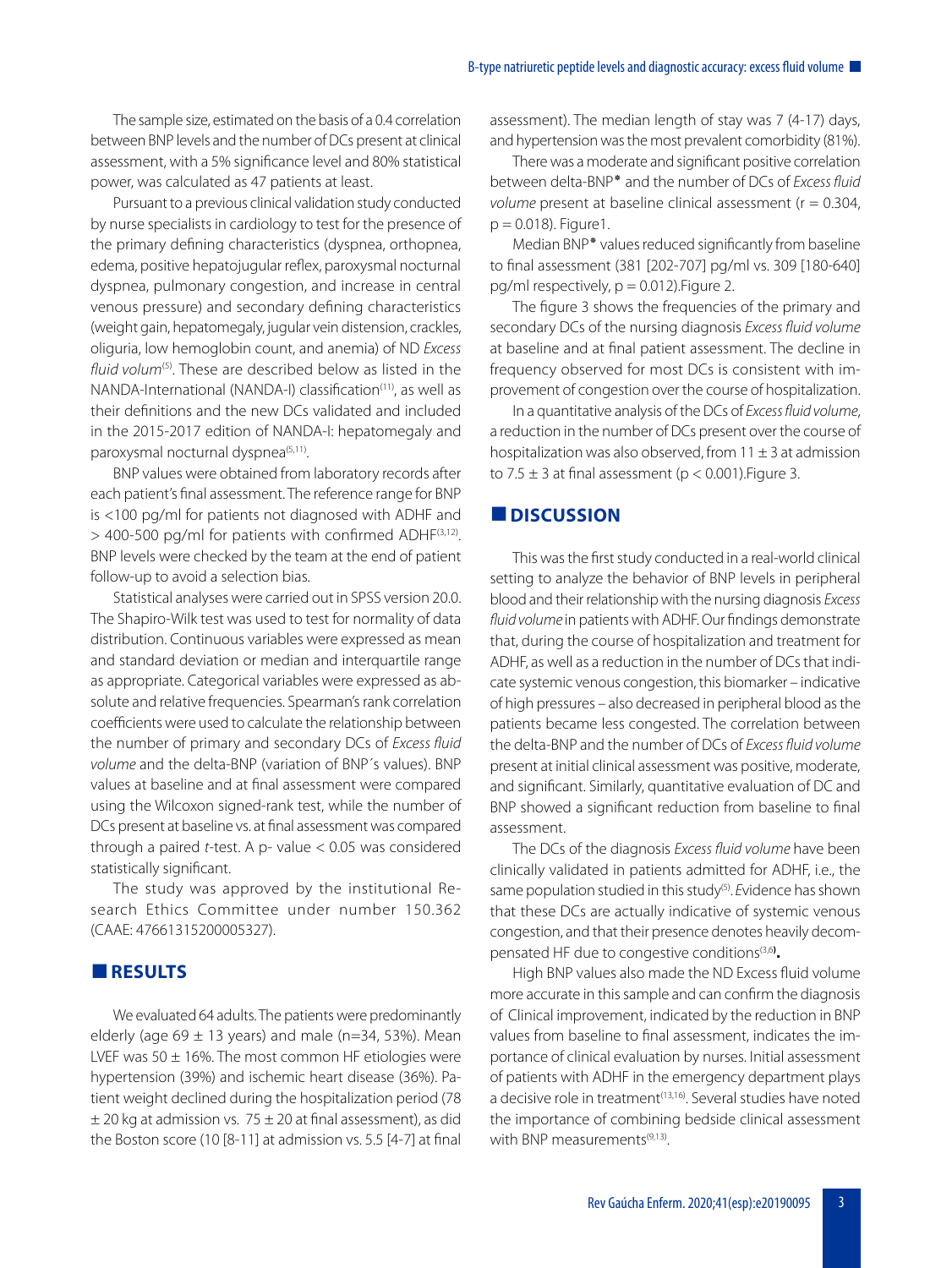The sample size, estimated on the basis of a 0.4 correlation between BNP levels and the number of DCs present at clinical assessment, with a 5% significance level and 80% statistical power, was calculated as 47 patients at least.

Pursuant to a previous clinical validation study conducted by nurse specialists in cardiology to test for the presence of the primary defining characteristics (dyspnea, orthopnea, edema, positive hepatojugular reflex, paroxysmal nocturnal dyspnea, pulmonary congestion, and increase in central venous pressure) and secondary defining characteristics (weight gain, hepatomegaly, jugular vein distension, crackles, oliguria, low hemoglobin count, and anemia) of ND *Excess*  fluid volum<sup>[\(5](#page-5-4))</sup>. These are described below as listed in the NANDA-International (NANDA-I) classification<sup>[\(11](#page-6-0))</sup>, as well as their definitions and the new DCs validated and included in the 2015-2017 edition of NANDA-I: hepatomegaly and paroxysmal nocturnal dyspnea<sup>([5,](#page-5-4)[11](#page-6-0))</sup>.

BNP values were obtained from laboratory records after each patient's final assessment. The reference range for BNP is <100 pg/ml for patients not diagnosed with ADHF and > 400-500 pg/ml for patients with confirmed ADHF<sup>[\(3](#page-5-2)[,12](#page-6-2))</sup>. BNP levels were checked by the team at the end of patient follow-up to avoid a selection bias.

Statistical analyses were carried out in SPSS version 20.0. The Shapiro-Wilk test was used to test for normality of data distribution. Continuous variables were expressed as mean and standard deviation or median and interquartile range as appropriate. Categorical variables were expressed as absolute and relative frequencies. Spearman's rank correlation coefficients were used to calculate the relationship between the number of primary and secondary DCs of *Excess fluid volume* and the delta-BNP (variation of BNP´s values). BNP values at baseline and at final assessment were compared using the Wilcoxon signed-rank test, while the number of DCs present at baseline vs. at final assessment was compared through a paired *t-*test. A p- value < 0.05 was considered statistically significant.

The study was approved by the institutional Research Ethics Committee under number 150.362 (CAAE: 47661315200005327).

# **RESULTS**

We evaluated 64 adults. The patients were predominantly elderly (age 69  $\pm$  13 years) and male (n=34, 53%). Mean LVEF was  $50 \pm 16$ %. The most common HF etiologies were hypertension (39%) and ischemic heart disease (36%). Patient weight declined during the hospitalization period (78  $\pm$  20 kg at admission vs. 75  $\pm$  20 at final assessment), as did the Boston score (10 [8-11] at admission vs. 5.5 [4-7] at final

assessment). The median length of stay was 7 (4-17) days, and hypertension was the most prevalent comorbidity (81%).

There was a moderate and significant positive correlation between delta-BNP٭ and the number of DCs of *Excess fluid volume* present at baseline clinical assessment (r = 0.304,  $p = 0.018$ ). Figure 1.

Median BNP٭ values reduced significantly from baseline to final assessment (381 [202-707] pg/ml vs. 309 [180-640] pg/ml respectively,  $p = 0.012$ ). Figure 2.

The figure 3 shows the frequencies of the primary and secondary DCs of the nursing diagnosis *Excess fluid volume* at baseline and at final patient assessment. The decline in frequency observed for most DCs is consistent with improvement of congestion over the course of hospitalization.

In a quantitative analysis of the DCs of *Excess fluid volume*, a reduction in the number of DCs present over the course of hospitalization was also observed, from  $11 \pm 3$  at admission to  $7.5 \pm 3$  at final assessment ( $p < 0.001$ ). Figure 3.

## **N**DISCUSSION

This was the first study conducted in a real-world clinical setting to analyze the behavior of BNP levels in peripheral blood and their relationship with the nursing diagnosis *Excess*  fluid volume in patients with ADHF. Our findings demonstrate that, during the course of hospitalization and treatment for ADHF, as well as a reduction in the number of DCs that indicate systemic venous congestion, this biomarker – indicative of high pressures – also decreased in peripheral blood as the patients became less congested. The correlation between the delta-BNP and the number of DCs of *Excess fluid volume*  present at initial clinical assessment was positive, moderate, and significant. Similarly, quantitative evaluation of DC and BNP showed a significant reduction from baseline to final assessment.

The DCs of the diagnosis *Excess fluid volume* have been clinically validated in patients admitted for ADHF, i.e., the same population studied in this study<sup>([5\)](#page-5-4)</sup>. Evidence has shown that these DCs are actually indicative of systemic venous congestion, and that their presence denotes heavily decompensated HF due to congestive conditions[\(3](#page-5-2)[,6](#page-5-5)**) .**

High BNP values also made the ND Excess fluid volume more accurate in this sample and can confirm the diagnosis of Clinical improvement, indicated by the reduction in BNP values from baseline to final assessment, indicates the importance of clinical evaluation by nurses. Initial assessment of patients with ADHF in the emergency department plays a decisive role in treatment<sup>[\(13,](#page-6-3)[16](#page-6-6))</sup>. Several studies have noted the importance of combining bedside clinical assessment with BNP measurements<sup>[\(9](#page-5-8)[,13\)](#page-6-3)</sup>.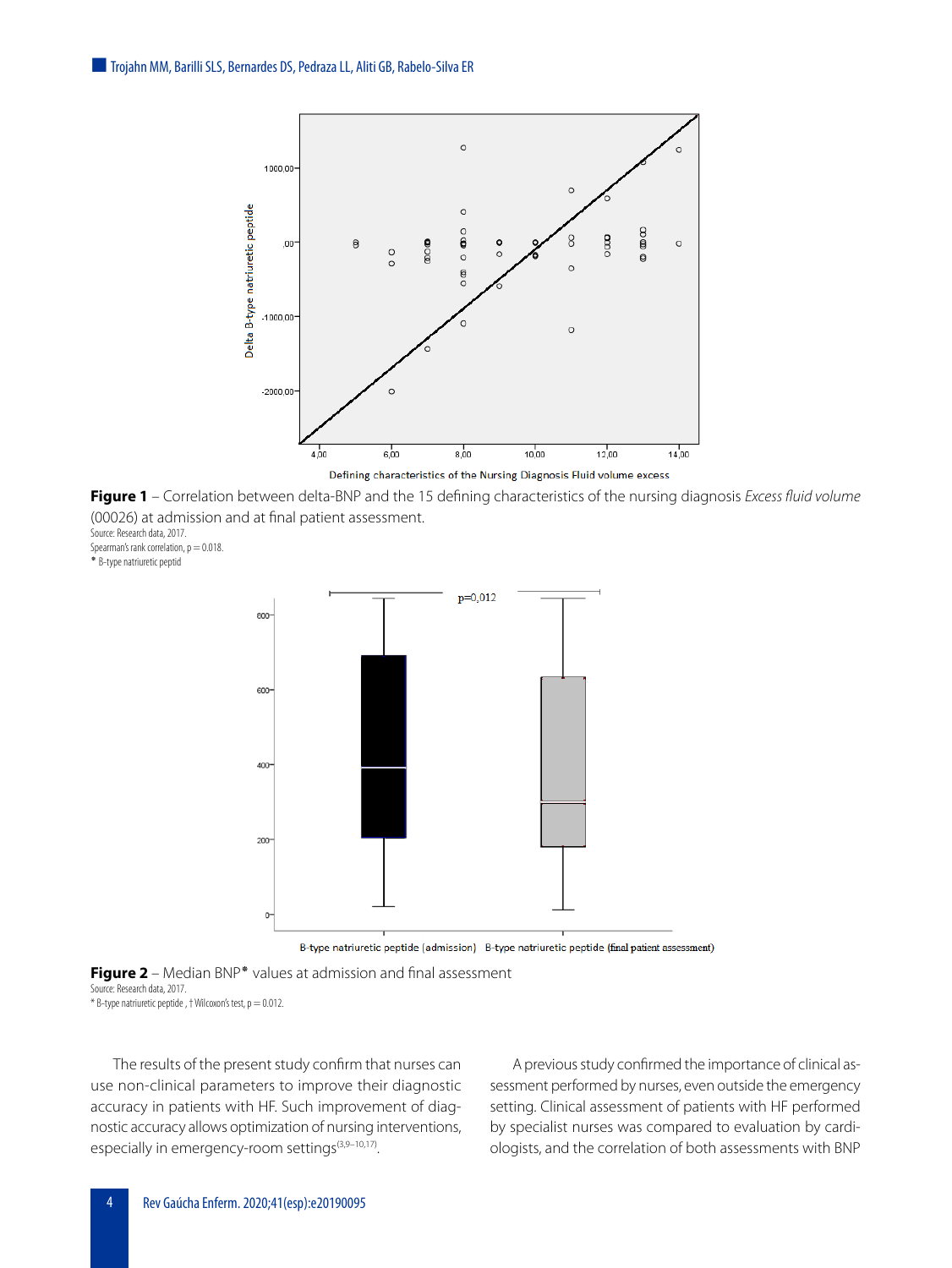

**Figure 1** – Correlation between delta-BNP and the 15 defining characteristics of the nursing diagnosis *Excess fluid volume* (00026) at admission and at final patient assessment. Source: Research data, 2017.

Spearman's rank correlation,  $p = 0.018$ .

٭ B-type natriuretic peptid



B-type natriuretic peptide (admission) B-type natriuretic peptide (final patient assessment)

**Figure 2** – Median BNP٭ values at admission and final assessment Source: Research data, 2017.

 $*$  B-type natriuretic peptide,  $\dagger$  Wilcoxon's test,  $p = 0.012$ .

The results of the present study confirm that nurses can use non-clinical parameters to improve their diagnostic accuracy in patients with HF. Such improvement of diagnostic accuracy allows optimization of nursing interventions, especially in emergency-room settings<sup>[\(3](#page-5-2)[,9](#page-5-8)-10,[17](#page-6-7))</sup>.

A previous study confirmed the importance of clinical assessment performed by nurses, even outside the emergency setting. Clinical assessment of patients with HF performed by specialist nurses was compared to evaluation by cardiologists, and the correlation of both assessments with BNP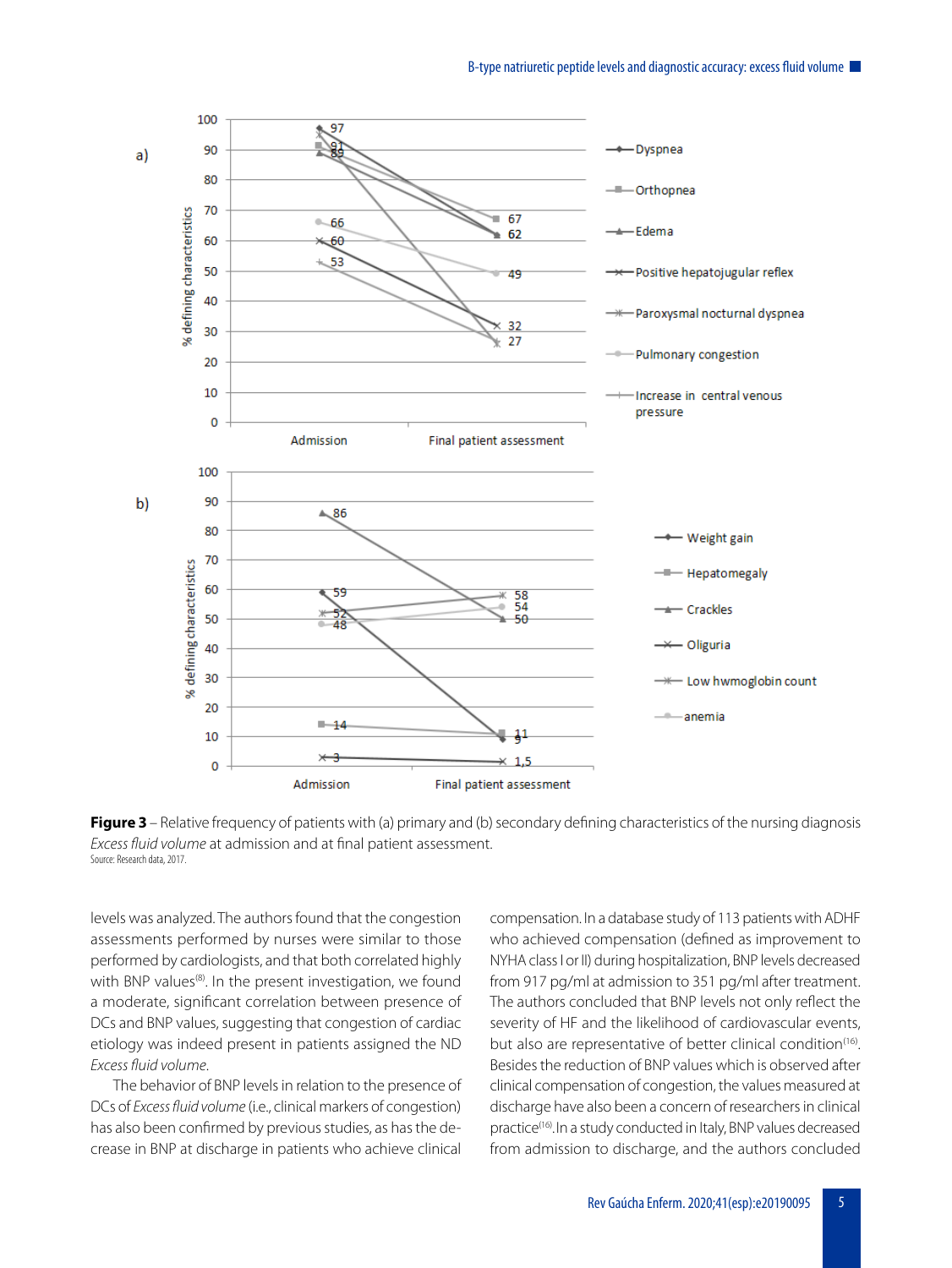

**Figure 3** – Relative frequency of patients with (a) primary and (b) secondary defining characteristics of the nursing diagnosis *Excess fluid volume* at admission and at final patient assessment. Source: Research data, 2017.

levels was analyzed. The authors found that the congestion assessments performed by nurses were similar to those performed by cardiologists, and that both correlated highly with BNP values<sup>([8\)](#page-5-7)</sup>. In the present investigation, we found a moderate, significant correlation between presence of DCs and BNP values, suggesting that congestion of cardiac etiology was indeed present in patients assigned the ND *Excess fluid volume*.

The behavior of BNP levels in relation to the presence of DCs of *Excess fluid volume* (i.e., clinical markers of congestion) has also been confirmed by previous studies, as has the decrease in BNP at discharge in patients who achieve clinical compensation. In a database study of 113 patients with ADHF who achieved compensation (defined as improvement to NYHA class I or II) during hospitalization, BNP levels decreased from 917 pg/ml at admission to 351 pg/ml after treatment. The authors concluded that BNP levels not only reflect the severity of HF and the likelihood of cardiovascular events, but also are representative of better clinical condition<sup>[\(16](#page-6-6))</sup>. Besides the reduction of BNP values which is observed after clinical compensation of congestion, the values measured at discharge have also been a concern of researchers in clinical practice<sup>([16](#page-6-6))</sup>. In a study conducted in Italy, BNP values decreased from admission to discharge, and the authors concluded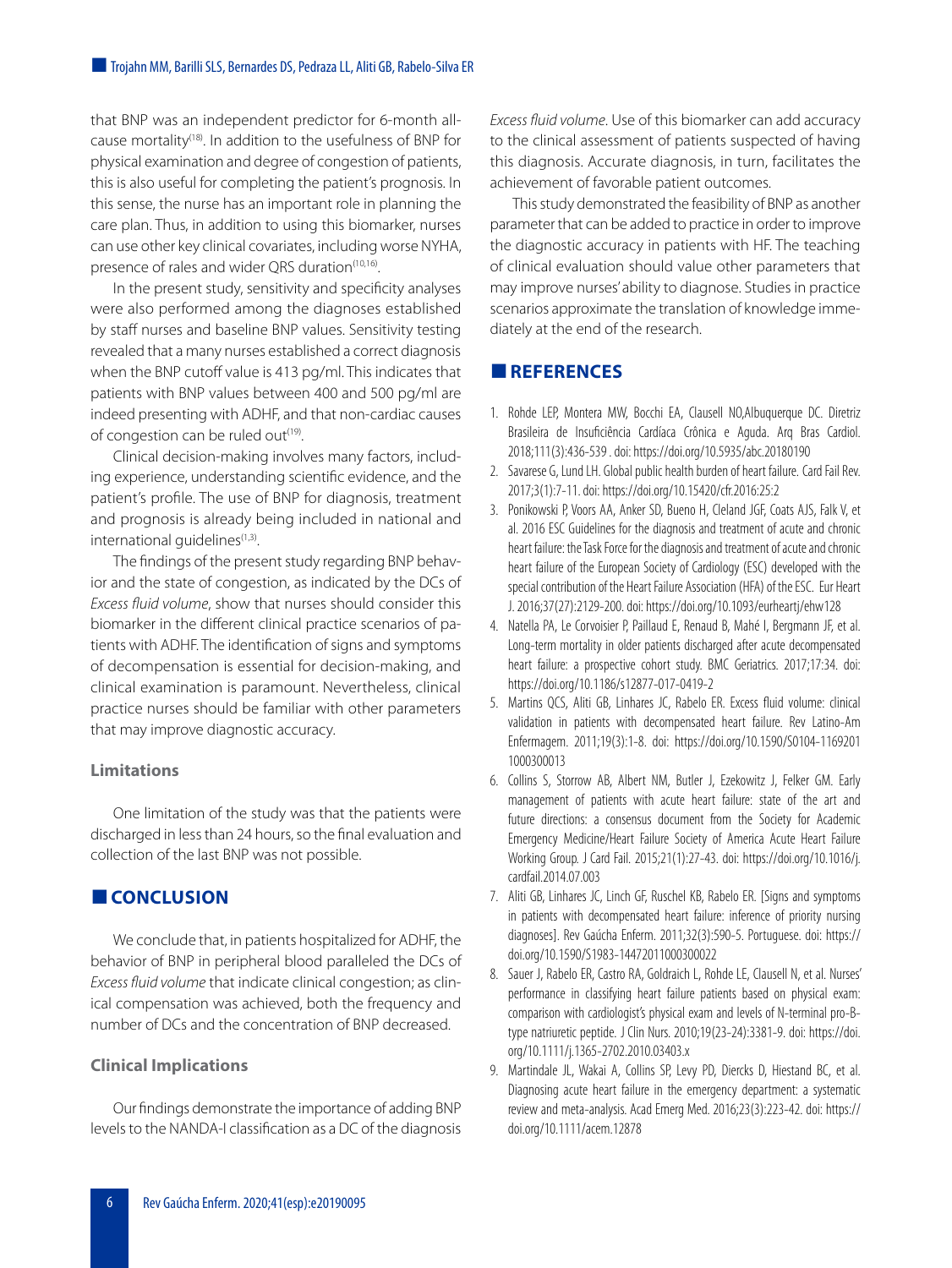that BNP was an independent predictor for 6-month allcause mortality([18\)](#page-6-8) . In addition to the usefulness of BNP for physical examination and degree of congestion of patients, this is also useful for completing the patient's prognosis. In this sense, the nurse has an important role in planning the care plan. Thus, in addition to using this biomarker, nurses can use other key clinical covariates, including worse NYHA, presence of rales and wider QRS duration<sup>[\(10](#page-6-1)[,16\)](#page-6-6)</sup>. .

In the present study, sensitivity and specificity analyses were also performed among the diagnoses established by staff nurses and baseline BNP values. Sensitivity testing revealed that a many nurses established a correct diagnosis when the BNP cutoff value is 413 pg/ml. This indicates that patients with BNP values between 400 and 500 pg/ml are indeed presenting with ADHF, and that non-cardiac causes of congestion can be ruled out<sup>[\(19\)](#page-6-9)</sup>.

Clinical decision-making involves many factors, including experience, understanding scientific evidence, and the patient's profile. The use of BNP for diagnosis, treatment and prognosis is already being included in national and international guidelines<sup>[\(1](#page-5-0)[,3](#page-5-2))</sup>.

The findings of the present study regarding BNP behavior and the state of congestion, as indicated by the DCs of *Excess fluid volume*, show that nurses should consider this biomarker in the different clinical practice scenarios of patients with ADHF. The identification of signs and symptoms of decompensation is essential for decision-making, and clinical examination is paramount. Nevertheless, clinical practice nurses should be familiar with other parameters that may improve diagnostic accuracy.

## **Limitations**

One limitation of the study was that the patients were discharged in less than 24 hours, so the final evaluation and collection of the last BNP was not possible.

# **CONCLUSION**

We conclude that, in patients hospitalized for ADHF, the behavior of BNP in peripheral blood paralleled the DCs of *Excess fluid volume* that indicate clinical congestion; as clinical compensation was achieved, both the frequency and number of DCs and the concentration of BNP decreased.

# **Clinical Implications**

Our findings demonstrate the importance of adding BNP levels to the NANDA-I classification as a DC of the diagnosis *Excess fluid volume*. Use of this biomarker can add accuracy to the clinical assessment of patients suspected of having this diagnosis. Accurate diagnosis, in turn, facilitates the achievement of favorable patient outcomes.

This study demonstrated the feasibility of BNP as another parameter that can be added to practice in order to improve the diagnostic accuracy in patients with HF. The teaching of clinical evaluation should value other parameters that may improve nurses' ability to diagnose. Studies in practice scenarios approximate the translation of knowledge immediately at the end of the research.

# **REFERENCES**

- <span id="page-5-0"></span>1. Rohde LEP, Montera MW, Bocchi EA, Clausell NO,Albuquerque DC. Diretriz Brasileira de Insuficiência Cardíaca Crônica e Aguda. Arq Bras Cardiol. 2018;111(3):436-539 . doi: <https://doi.org/10.5935/abc.20180190>
- <span id="page-5-1"></span>2. Savarese G, Lund LH. Global public health burden of heart failure. Card Fail Rev. 2017;3(1):7-11. doi:<https://doi.org/10.15420/cfr.2016:25:2>
- <span id="page-5-2"></span>3. Ponikowski P, Voors AA, Anker SD, Bueno H, Cleland JGF, Coats AJS, Falk V, et al. 2016 ESC Guidelines for the diagnosis and treatment of acute and chronic heart failure: the Task Force for the diagnosis and treatment of acute and chronic heart failure of the European Society of Cardiology (ESC) developed with the special contribution of the Heart Failure Association (HFA) of the ESC. Eur Heart J. 2016;37(27):2129-200. doi:<https://doi.org/10.1093/eurheartj/ehw128>
- <span id="page-5-3"></span>4. Natella PA, Le Corvoisier P, Paillaud E, Renaud B, Mahé I, Bergmann JF, et al. Long-term mortality in older patients discharged after acute decompensated heart failure: a prospective cohort study. BMC Geriatrics. 2017;17:34. doi: <https://doi.org/10.1186/s12877-017-0419-2>
- <span id="page-5-4"></span>5. Martins QCS, Aliti GB, Linhares JC, Rabelo ER. Excess fluid volume: clinical validation in patients with decompensated heart failure. Rev Latino-Am Enfermagem. 2011;19(3):1-8. doi: [https://doi.org/10.1590/S0104-1169201](https://doi.org/10.1590/S0104-11692011000300013 
) [1000300013](https://doi.org/10.1590/S0104-11692011000300013 
)
- <span id="page-5-5"></span>6. Collins S, Storrow AB, Albert NM, Butler J, Ezekowitz J, Felker GM. Early management of patients with acute heart failure: state of the art and future directions: a consensus document from the Society for Academic Emergency Medicine/Heart Failure Society of America Acute Heart Failure Working Group. J Card Fail. 2015;21(1):27-43. doi: [https://doi.org/10.1016/j.](https://doi.org/10.1016/j.cardfail.2014.07.003) [cardfail.2014.07.003](https://doi.org/10.1016/j.cardfail.2014.07.003)
- <span id="page-5-6"></span>7. Aliti GB, Linhares JC, Linch GF, Ruschel KB, Rabelo ER. [Signs and symptoms in patients with decompensated heart failure: inference of priority nursing diagnoses]. Rev Gaúcha Enferm. 2011;32(3):590-5. Portuguese. doi: [https://](https://doi.org/10.1590/S1983-14472011000300022) [doi.org/10.1590/S1983-14472011000300022](https://doi.org/10.1590/S1983-14472011000300022)
- <span id="page-5-7"></span>8. Sauer J, Rabelo ER, Castro RA, Goldraich L, Rohde LE, Clausell N, et al. Nurses' performance in classifying heart failure patients based on physical exam: comparison with cardiologist's physical exam and levels of N-terminal pro-Btype natriuretic peptide. J Clin Nurs. 2010;19(23-24):3381-9. doi: [https://doi.](https://doi.org/10.1111/j.1365-2702.2010.03403.x) [org/10.1111/j.1365-2702.2010.03403.x](https://doi.org/10.1111/j.1365-2702.2010.03403.x)
- <span id="page-5-8"></span>9. Martindale JL, Wakai A, Collins SP, Levy PD, Diercks D, Hiestand BC, et al. Diagnosing acute heart failure in the emergency department: a systematic review and meta-analysis. Acad Emerg Med. 2016;23(3):223-42. doi: [https://](https://doi.org/10.1111/acem.12878) [doi.org/10.1111/acem.12878](https://doi.org/10.1111/acem.12878)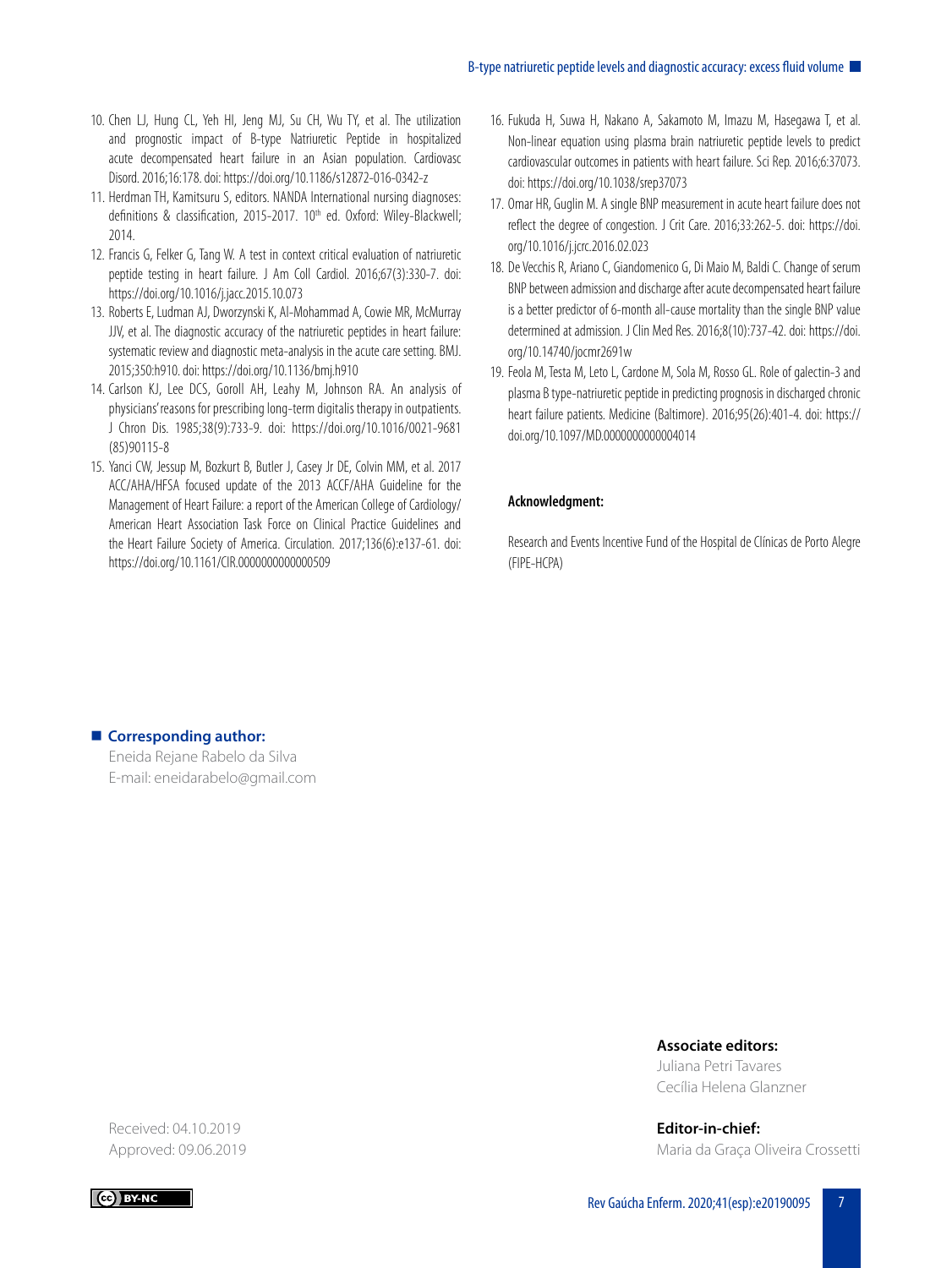- <span id="page-6-1"></span>10. Chen LJ, Hung CL, Yeh HI, Jeng MJ, Su CH, Wu TY, et al. The utilization and prognostic impact of B-type Natriuretic Peptide in hospitalized acute decompensated heart failure in an Asian population. Cardiovasc Disord. 2016;16:178. doi:<https://doi.org/10.1186/s12872-016-0342-z>
- <span id="page-6-0"></span>11. Herdman TH, Kamitsuru S, editors. NANDA International nursing diagnoses: definitions & classification, 2015-2017. 10<sup>th</sup> ed. Oxford: Wiley-Blackwell; 2014.
- <span id="page-6-2"></span>12. Francis G, Felker G, Tang W. A test in context critical evaluation of natriuretic peptide testing in heart failure. J Am Coll Cardiol. 2016;67(3):330-7. doi: <https://doi.org/10.1016/j.jacc.2015.10.073>
- <span id="page-6-3"></span>13. Roberts E, Ludman AJ, Dworzynski K, Al-Mohammad A, Cowie MR, McMurray JJV, et al. The diagnostic accuracy of the natriuretic peptides in heart failure: systematic review and diagnostic meta-analysis in the acute care setting. BMJ. 2015;350:h910. doi:<https://doi.org/10.1136/bmj.h910>
- <span id="page-6-4"></span>14. Carlson KJ, Lee DCS, Goroll AH, Leahy M, Johnson RA. An analysis of physicians' reasons for prescribing long-term digitalis therapy in outpatients. J Chron Dis. 1985;38(9):733-9. doi: [https://doi.org/10.1016/0021-9681](https://doi.org/10.1016/0021-9681(85)90115-8
) [\(85\)90115-8](https://doi.org/10.1016/0021-9681(85)90115-8
)
- <span id="page-6-5"></span>15. Yanci CW, Jessup M, Bozkurt B, Butler J, Casey Jr DE, Colvin MM, et al. 2017 ACC/AHA/HFSA focused update of the 2013 ACCF/AHA Guideline for the Management of Heart Failure: a report of the American College of Cardiology/ American Heart Association Task Force on Clinical Practice Guidelines and the Heart Failure Society of America. Circulation. 2017;136(6):e137-61. doi: <https://doi.org/10.1161/CIR.0000000000000509>
- <span id="page-6-6"></span>16. Fukuda H, Suwa H, Nakano A, Sakamoto M, Imazu M, Hasegawa T, et al. Non-linear equation using plasma brain natriuretic peptide levels to predict cardiovascular outcomes in patients with heart failure. Sci Rep. 2016;6:37073. doi:<https://doi.org/10.1038/srep37073>
- <span id="page-6-7"></span>17. Omar HR, Guglin M. A single BNP measurement in acute heart failure does not reflect the degree of congestion. J Crit Care. 2016;33:262-5. doi: [https://doi.](https://doi.org/10.1016/j.jcrc.2016.02.023) [org/10.1016/j.jcrc.2016.02.023](https://doi.org/10.1016/j.jcrc.2016.02.023)
- <span id="page-6-8"></span>18. De Vecchis R, Ariano C, Giandomenico G, Di Maio M, Baldi C. Change of serum BNP between admission and discharge after acute decompensated heart failure is a better predictor of 6-month all-cause mortality than the single BNP value determined at admission. J Clin Med Res. 2016;8(10):737-42. doi: [https://doi.](https://doi.org/10.14740/jocmr2691w) [org/10.14740/jocmr2691w](https://doi.org/10.14740/jocmr2691w)
- <span id="page-6-9"></span>19. Feola M, Testa M, Leto L, Cardone M, Sola M, Rosso GL. Role of galectin-3 and plasma B type-natriuretic peptide in predicting prognosis in discharged chronic heart failure patients. Medicine (Baltimore). 2016;95(26):401-4. doi: [https://](https://doi.org/10.1097/MD.0000000000004014) [doi.org/10.1097/MD.0000000000004014](https://doi.org/10.1097/MD.0000000000004014)

## **Acknowledgment:**

Research and Events Incentive Fund of the Hospital de Clínicas de Porto Alegre (FIPE-HCPA)

# **E** Corresponding author:

Eneida Rejane Rabelo da Silva E-mail: eneidarabelo@gmail.com

### **Associate editors:**

Juliana Petri Tavares Cecília Helena Glanzner

**Editor-in-chief:** Maria da Graça Oliveira Crossetti

Received: 04.10.2019 Approved: 09.06.2019